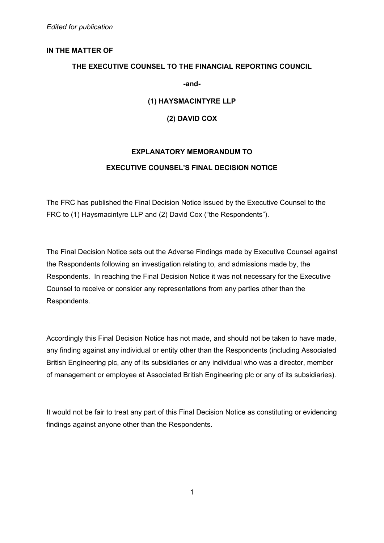## **IN THE MATTER OF**

## **THE EXECUTIVE COUNSEL TO THE FINANCIAL REPORTING COUNCIL**

**-and-** 

**(1) HAYSMACINTYRE LLP** 

**(2) DAVID COX** 

# **EXPLANATORY MEMORANDUM TO EXECUTIVE COUNSEL'S FINAL DECISION NOTICE**

The FRC has published the Final Decision Notice issued by the Executive Counsel to the FRC to (1) Haysmacintyre LLP and (2) David Cox ("the Respondents").

The Final Decision Notice sets out the Adverse Findings made by Executive Counsel against the Respondents following an investigation relating to, and admissions made by, the Respondents. In reaching the Final Decision Notice it was not necessary for the Executive Counsel to receive or consider any representations from any parties other than the Respondents.

Accordingly this Final Decision Notice has not made, and should not be taken to have made, any finding against any individual or entity other than the Respondents (including Associated British Engineering plc, any of its subsidiaries or any individual who was a director, member of management or employee at Associated British Engineering plc or any of its subsidiaries).

It would not be fair to treat any part of this Final Decision Notice as constituting or evidencing findings against anyone other than the Respondents.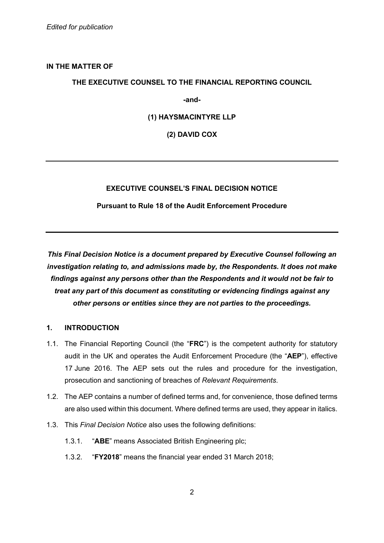## **IN THE MATTER OF**

## **THE EXECUTIVE COUNSEL TO THE FINANCIAL REPORTING COUNCIL**

**-and-** 

## **(1) HAYSMACINTYRE LLP**

**(2) DAVID COX** 

### **EXECUTIVE COUNSEL'S FINAL DECISION NOTICE**

### **Pursuant to Rule 18 of the Audit Enforcement Procedure**

*This Final Decision Notice is a document prepared by Executive Counsel following an investigation relating to, and admissions made by, the Respondents. It does not make findings against any persons other than the Respondents and it would not be fair to treat any part of this document as constituting or evidencing findings against any other persons or entities since they are not parties to the proceedings.* 

### **1. INTRODUCTION**

- 1.1. The Financial Reporting Council (the "**FRC**") is the competent authority for statutory audit in the UK and operates the Audit Enforcement Procedure (the "**AEP**"), effective 17 June 2016. The AEP sets out the rules and procedure for the investigation, prosecution and sanctioning of breaches of *Relevant Requirements*.
- 1.2. The AEP contains a number of defined terms and, for convenience, those defined terms are also used within this document. Where defined terms are used, they appear in italics.
- 1.3. This *Final Decision Notice* also uses the following definitions:
	- 1.3.1. "**ABE**" means Associated British Engineering plc;
	- 1.3.2. "**FY2018**" means the financial year ended 31 March 2018;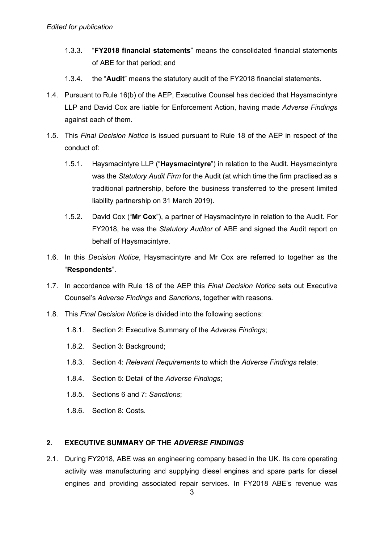- 1.3.3. "**FY2018 financial statements**" means the consolidated financial statements of ABE for that period; and
- 1.3.4. the "**Audit**" means the statutory audit of the FY2018 financial statements.
- 1.4. Pursuant to Rule 16(b) of the AEP, Executive Counsel has decided that Haysmacintyre LLP and David Cox are liable for Enforcement Action, having made *Adverse Findings* against each of them.
- 1.5. This *Final Decision Notice* is issued pursuant to Rule 18 of the AEP in respect of the conduct of:
	- 1.5.1. Haysmacintyre LLP ("**Haysmacintyre**") in relation to the Audit. Haysmacintyre was the *Statutory Audit Firm* for the Audit (at which time the firm practised as a traditional partnership, before the business transferred to the present limited liability partnership on 31 March 2019).
	- 1.5.2. David Cox ("**Mr Cox**"), a partner of Haysmacintyre in relation to the Audit. For FY2018, he was the *Statutory Auditor* of ABE and signed the Audit report on behalf of Haysmacintyre.
- 1.6. In this *Decision Notice*, Haysmacintyre and Mr Cox are referred to together as the "**Respondents**".
- 1.7. In accordance with Rule 18 of the AEP this *Final Decision Notice* sets out Executive Counsel's *Adverse Findings* and *Sanctions*, together with reasons*.*
- 1.8. This *Final Decision Notice* is divided into the following sections:
	- 1.8.1. Section 2: Executive Summary of the *Adverse Findings*;
	- 1.8.2. Section 3: Background;
	- 1.8.3. Section 4: *Relevant Requirements* to which the *Adverse Findings* relate;
	- 1.8.4. Section 5: Detail of the *Adverse Findings*;
	- 1.8.5. Sections 6 and 7: *Sanctions*;
	- 1.8.6. Section 8: Costs.

#### **2. EXECUTIVE SUMMARY OF THE** *ADVERSE FINDINGS*

2.1. During FY2018, ABE was an engineering company based in the UK. Its core operating activity was manufacturing and supplying diesel engines and spare parts for diesel engines and providing associated repair services. In FY2018 ABE's revenue was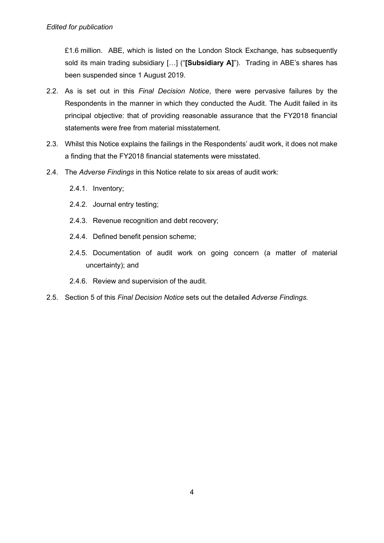£1.6 million. ABE, which is listed on the London Stock Exchange, has subsequently sold its main trading subsidiary […] ("**[Subsidiary A]**"). Trading in ABE's shares has been suspended since 1 August 2019.

- 2.2. As is set out in this *Final Decision Notice*, there were pervasive failures by the Respondents in the manner in which they conducted the Audit. The Audit failed in its principal objective: that of providing reasonable assurance that the FY2018 financial statements were free from material misstatement.
- 2.3. Whilst this Notice explains the failings in the Respondents' audit work, it does not make a finding that the FY2018 financial statements were misstated.
- 2.4. The *Adverse Findings* in this Notice relate to six areas of audit work:
	- 2.4.1. Inventory;
	- 2.4.2. Journal entry testing;
	- 2.4.3. Revenue recognition and debt recovery;
	- 2.4.4. Defined benefit pension scheme;
	- 2.4.5. Documentation of audit work on going concern (a matter of material uncertainty); and
	- 2.4.6. Review and supervision of the audit.
- 2.5. Section 5 of this *Final Decision Notice* sets out the detailed *Adverse Findings.*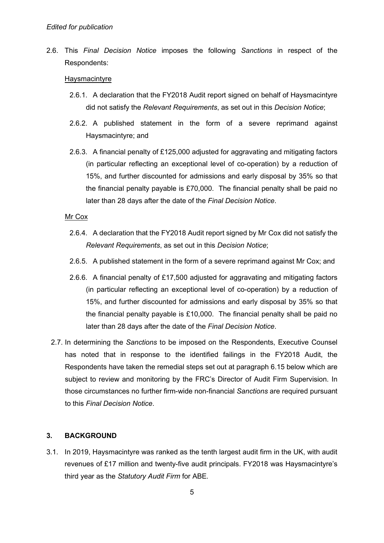2.6. This *Final Decision Notice* imposes the following *Sanctions* in respect of the Respondents:

#### Haysmacintyre

- 2.6.1. A declaration that the FY2018 Audit report signed on behalf of Haysmacintyre did not satisfy the *Relevant Requirements*, as set out in this *Decision Notice*;
- 2.6.2. A published statement in the form of a severe reprimand against Haysmacintyre; and
- 2.6.3. A financial penalty of £125,000 adjusted for aggravating and mitigating factors (in particular reflecting an exceptional level of co-operation) by a reduction of 15%, and further discounted for admissions and early disposal by 35% so that the financial penalty payable is £70,000. The financial penalty shall be paid no later than 28 days after the date of the *Final Decision Notice*.

#### Mr Cox

- 2.6.4. A declaration that the FY2018 Audit report signed by Mr Cox did not satisfy the *Relevant Requirements*, as set out in this *Decision Notice*;
- 2.6.5. A published statement in the form of a severe reprimand against Mr Cox; and
- 2.6.6. A financial penalty of £17,500 adjusted for aggravating and mitigating factors (in particular reflecting an exceptional level of co-operation) by a reduction of 15%, and further discounted for admissions and early disposal by 35% so that the financial penalty payable is £10,000. The financial penalty shall be paid no later than 28 days after the date of the *Final Decision Notice*.
- 2.7. In determining the *Sanctions* to be imposed on the Respondents, Executive Counsel has noted that in response to the identified failings in the FY2018 Audit, the Respondents have taken the remedial steps set out at paragraph 6.15 below which are subject to review and monitoring by the FRC's Director of Audit Firm Supervision. In those circumstances no further firm-wide non-financial *Sanctions* are required pursuant to this *Final Decision Notice*.

#### **3. BACKGROUND**

3.1. In 2019, Haysmacintyre was ranked as the tenth largest audit firm in the UK, with audit revenues of £17 million and twenty-five audit principals. FY2018 was Haysmacintyre's third year as the *Statutory Audit Firm* for ABE*.*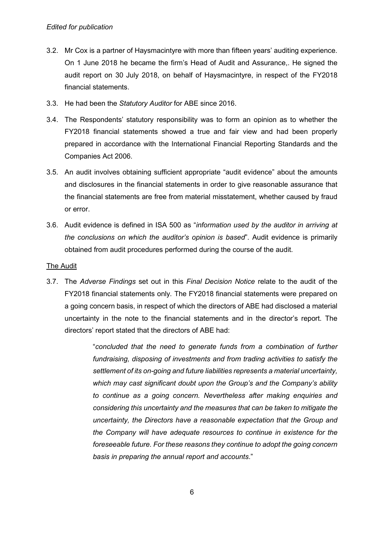- 3.2. Mr Cox is a partner of Haysmacintyre with more than fifteen years' auditing experience. On 1 June 2018 he became the firm's Head of Audit and Assurance,. He signed the audit report on 30 July 2018, on behalf of Haysmacintyre, in respect of the FY2018 financial statements.
- 3.3. He had been the *Statutory Auditor* for ABE since 2016.
- 3.4. The Respondents' statutory responsibility was to form an opinion as to whether the FY2018 financial statements showed a true and fair view and had been properly prepared in accordance with the International Financial Reporting Standards and the Companies Act 2006.
- 3.5. An audit involves obtaining sufficient appropriate "audit evidence" about the amounts and disclosures in the financial statements in order to give reasonable assurance that the financial statements are free from material misstatement, whether caused by fraud or error.
- 3.6. Audit evidence is defined in ISA 500 as "*information used by the auditor in arriving at the conclusions on which the auditor's opinion is based*". Audit evidence is primarily obtained from audit procedures performed during the course of the audit.

## The Audit

3.7. The *Adverse Findings* set out in this *Final Decision Notice* relate to the audit of the FY2018 financial statements only*.* The FY2018 financial statements were prepared on a going concern basis, in respect of which the directors of ABE had disclosed a material uncertainty in the note to the financial statements and in the director's report. The directors' report stated that the directors of ABE had:

> "*concluded that the need to generate funds from a combination of further fundraising, disposing of investments and from trading activities to satisfy the settlement of its on-going and future liabilities represents a material uncertainty, which may cast significant doubt upon the Group's and the Company's ability to continue as a going concern. Nevertheless after making enquiries and considering this uncertainty and the measures that can be taken to mitigate the uncertainty, the Directors have a reasonable expectation that the Group and the Company will have adequate resources to continue in existence for the foreseeable future. For these reasons they continue to adopt the going concern basis in preparing the annual report and accounts*."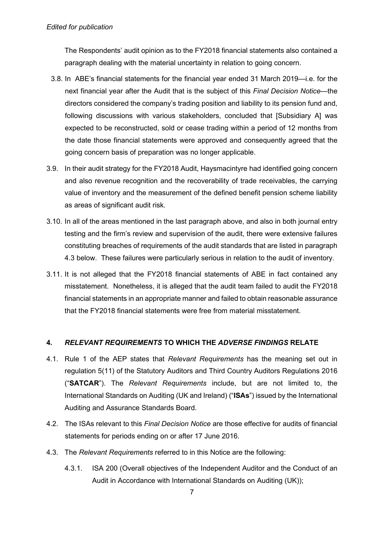#### *Edited for publication*

The Respondents' audit opinion as to the FY2018 financial statements also contained a paragraph dealing with the material uncertainty in relation to going concern.

- 3.8. In ABE's financial statements for the financial year ended 31 March 2019—i.e. for the next financial year after the Audit that is the subject of this *Final Decision Notice*—the directors considered the company's trading position and liability to its pension fund and, following discussions with various stakeholders, concluded that [Subsidiary A] was expected to be reconstructed, sold or cease trading within a period of 12 months from the date those financial statements were approved and consequently agreed that the going concern basis of preparation was no longer applicable.
- 3.9. In their audit strategy for the FY2018 Audit, Haysmacintyre had identified going concern and also revenue recognition and the recoverability of trade receivables, the carrying value of inventory and the measurement of the defined benefit pension scheme liability as areas of significant audit risk.
- 3.10. In all of the areas mentioned in the last paragraph above, and also in both journal entry testing and the firm's review and supervision of the audit, there were extensive failures constituting breaches of requirements of the audit standards that are listed in paragraph 4.3 below. These failures were particularly serious in relation to the audit of inventory.
- 3.11. It is not alleged that the FY2018 financial statements of ABE in fact contained any misstatement. Nonetheless, it is alleged that the audit team failed to audit the FY2018 financial statements in an appropriate manner and failed to obtain reasonable assurance that the FY2018 financial statements were free from material misstatement.

### **4.** *RELEVANT REQUIREMENTS* **TO WHICH THE** *ADVERSE FINDINGS* **RELATE**

- 4.1. Rule 1 of the AEP states that *Relevant Requirements* has the meaning set out in regulation 5(11) of the Statutory Auditors and Third Country Auditors Regulations 2016 ("**SATCAR**"). The *Relevant Requirements* include, but are not limited to, the International Standards on Auditing (UK and Ireland) ("**ISAs**") issued by the International Auditing and Assurance Standards Board.
- 4.2. The ISAs relevant to this *Final Decision Notice* are those effective for audits of financial statements for periods ending on or after 17 June 2016.
- 4.3. The *Relevant Requirements* referred to in this Notice are the following:
	- 4.3.1. ISA 200 (Overall objectives of the Independent Auditor and the Conduct of an Audit in Accordance with International Standards on Auditing (UK));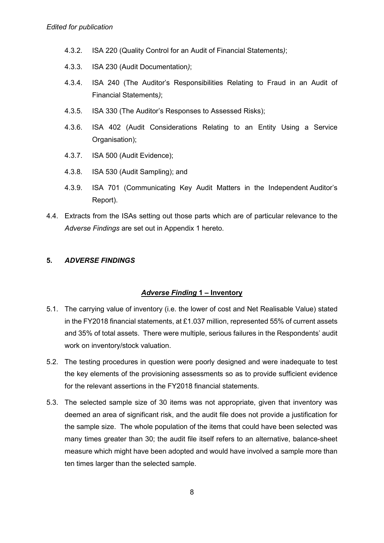- 4.3.2. ISA 220 (Quality Control for an Audit of Financial Statements*)*;
- 4.3.3. ISA 230 (Audit Documentation*)*;
- 4.3.4. ISA 240 (The Auditor's Responsibilities Relating to Fraud in an Audit of Financial Statements*)*;
- 4.3.5. ISA 330 (The Auditor's Responses to Assessed Risks);
- 4.3.6. ISA 402 (Audit Considerations Relating to an Entity Using a Service Organisation);
- 4.3.7. ISA 500 (Audit Evidence);
- 4.3.8. ISA 530 (Audit Sampling); and
- 4.3.9. ISA 701 (Communicating Key Audit Matters in the Independent Auditor's Report).
- 4.4. Extracts from the ISAs setting out those parts which are of particular relevance to the *Adverse Findings* are set out in Appendix 1 hereto.

#### **5.** *ADVERSE FINDINGS*

### *Adverse Finding* **1 – Inventory**

- 5.1. The carrying value of inventory (i.e. the lower of cost and Net Realisable Value) stated in the FY2018 financial statements, at £1.037 million, represented 55% of current assets and 35% of total assets. There were multiple, serious failures in the Respondents' audit work on inventory/stock valuation.
- 5.2. The testing procedures in question were poorly designed and were inadequate to test the key elements of the provisioning assessments so as to provide sufficient evidence for the relevant assertions in the FY2018 financial statements.
- 5.3. The selected sample size of 30 items was not appropriate, given that inventory was deemed an area of significant risk, and the audit file does not provide a justification for the sample size. The whole population of the items that could have been selected was many times greater than 30; the audit file itself refers to an alternative, balance-sheet measure which might have been adopted and would have involved a sample more than ten times larger than the selected sample.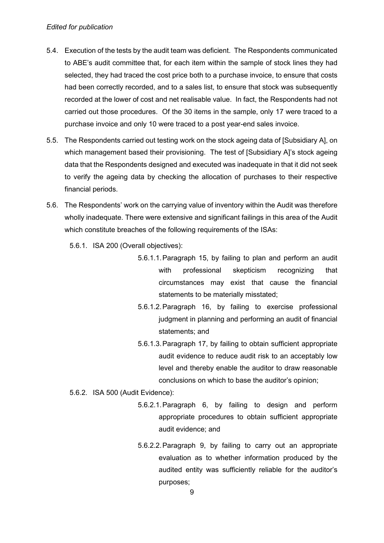#### *Edited for publication*

- 5.4. Execution of the tests by the audit team was deficient. The Respondents communicated to ABE's audit committee that, for each item within the sample of stock lines they had selected, they had traced the cost price both to a purchase invoice, to ensure that costs had been correctly recorded, and to a sales list, to ensure that stock was subsequently recorded at the lower of cost and net realisable value. In fact, the Respondents had not carried out those procedures. Of the 30 items in the sample, only 17 were traced to a purchase invoice and only 10 were traced to a post year-end sales invoice.
- 5.5. The Respondents carried out testing work on the stock ageing data of [Subsidiary A], on which management based their provisioning. The test of [Subsidiary A]'s stock ageing data that the Respondents designed and executed was inadequate in that it did not seek to verify the ageing data by checking the allocation of purchases to their respective financial periods.
- 5.6. The Respondents' work on the carrying value of inventory within the Audit was therefore wholly inadequate. There were extensive and significant failings in this area of the Audit which constitute breaches of the following requirements of the ISAs:
	- 5.6.1. ISA 200 (Overall objectives):
		- 5.6.1.1. Paragraph 15, by failing to plan and perform an audit with professional skepticism recognizing that circumstances may exist that cause the financial statements to be materially misstated;
		- 5.6.1.2. Paragraph 16, by failing to exercise professional judgment in planning and performing an audit of financial statements; and
		- 5.6.1.3. Paragraph 17, by failing to obtain sufficient appropriate audit evidence to reduce audit risk to an acceptably low level and thereby enable the auditor to draw reasonable conclusions on which to base the auditor's opinion;
	- 5.6.2. ISA 500 (Audit Evidence):
		- 5.6.2.1. Paragraph 6, by failing to design and perform appropriate procedures to obtain sufficient appropriate audit evidence; and
		- 5.6.2.2. Paragraph 9, by failing to carry out an appropriate evaluation as to whether information produced by the audited entity was sufficiently reliable for the auditor's purposes;

9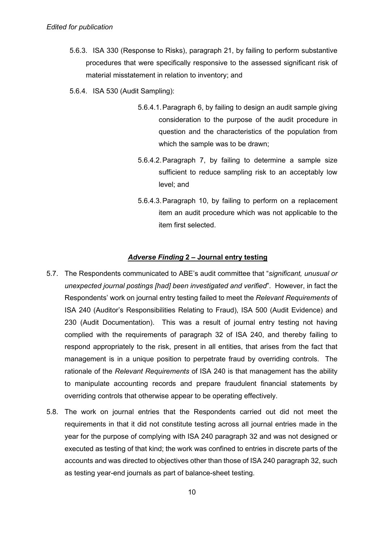- 5.6.3. ISA 330 (Response to Risks), paragraph 21, by failing to perform substantive procedures that were specifically responsive to the assessed significant risk of material misstatement in relation to inventory; and
- 5.6.4. ISA 530 (Audit Sampling):
	- 5.6.4.1. Paragraph 6, by failing to design an audit sample giving consideration to the purpose of the audit procedure in question and the characteristics of the population from which the sample was to be drawn;
	- 5.6.4.2. Paragraph 7, by failing to determine a sample size sufficient to reduce sampling risk to an acceptably low level; and
	- 5.6.4.3. Paragraph 10, by failing to perform on a replacement item an audit procedure which was not applicable to the item first selected.

#### *Adverse Finding* **2 – Journal entry testing**

- 5.7. The Respondents communicated to ABE's audit committee that "*significant, unusual or unexpected journal postings [had] been investigated and verified*". However, in fact the Respondents' work on journal entry testing failed to meet the *Relevant Requirements* of ISA 240 (Auditor's Responsibilities Relating to Fraud), ISA 500 (Audit Evidence) and 230 (Audit Documentation). This was a result of journal entry testing not having complied with the requirements of paragraph 32 of ISA 240, and thereby failing to respond appropriately to the risk, present in all entities, that arises from the fact that management is in a unique position to perpetrate fraud by overriding controls. The rationale of the *Relevant Requirements* of ISA 240 is that management has the ability to manipulate accounting records and prepare fraudulent financial statements by overriding controls that otherwise appear to be operating effectively.
- 5.8. The work on journal entries that the Respondents carried out did not meet the requirements in that it did not constitute testing across all journal entries made in the year for the purpose of complying with ISA 240 paragraph 32 and was not designed or executed as testing of that kind; the work was confined to entries in discrete parts of the accounts and was directed to objectives other than those of ISA 240 paragraph 32, such as testing year-end journals as part of balance-sheet testing.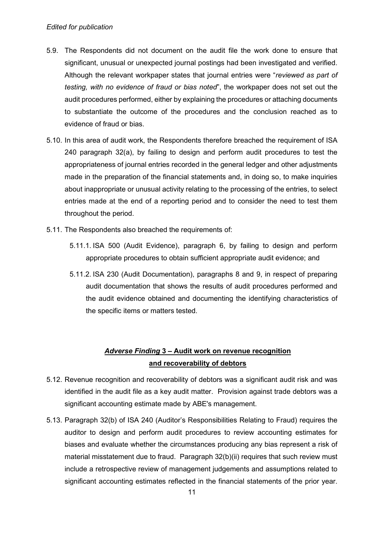#### *Edited for publication*

- 5.9. The Respondents did not document on the audit file the work done to ensure that significant, unusual or unexpected journal postings had been investigated and verified. Although the relevant workpaper states that journal entries were "*reviewed as part of testing, with no evidence of fraud or bias noted*", the workpaper does not set out the audit procedures performed, either by explaining the procedures or attaching documents to substantiate the outcome of the procedures and the conclusion reached as to evidence of fraud or bias.
- 5.10. In this area of audit work, the Respondents therefore breached the requirement of ISA 240 paragraph 32(a), by failing to design and perform audit procedures to test the appropriateness of journal entries recorded in the general ledger and other adjustments made in the preparation of the financial statements and, in doing so, to make inquiries about inappropriate or unusual activity relating to the processing of the entries, to select entries made at the end of a reporting period and to consider the need to test them throughout the period.
- 5.11. The Respondents also breached the requirements of:
	- 5.11.1. ISA 500 (Audit Evidence), paragraph 6, by failing to design and perform appropriate procedures to obtain sufficient appropriate audit evidence; and
	- 5.11.2. ISA 230 (Audit Documentation), paragraphs 8 and 9, in respect of preparing audit documentation that shows the results of audit procedures performed and the audit evidence obtained and documenting the identifying characteristics of the specific items or matters tested.

## *Adverse Finding* **3 – Audit work on revenue recognition and recoverability of debtors**

- 5.12. Revenue recognition and recoverability of debtors was a significant audit risk and was identified in the audit file as a key audit matter. Provision against trade debtors was a significant accounting estimate made by ABE's management.
- 5.13. Paragraph 32(b) of ISA 240 (Auditor's Responsibilities Relating to Fraud) requires the auditor to design and perform audit procedures to review accounting estimates for biases and evaluate whether the circumstances producing any bias represent a risk of material misstatement due to fraud. Paragraph 32(b)(ii) requires that such review must include a retrospective review of management judgements and assumptions related to significant accounting estimates reflected in the financial statements of the prior year.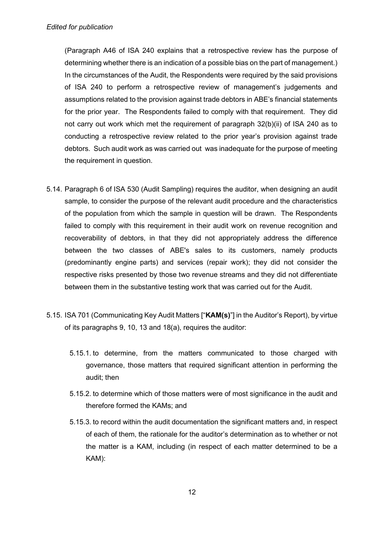(Paragraph A46 of ISA 240 explains that a retrospective review has the purpose of determining whether there is an indication of a possible bias on the part of management.) In the circumstances of the Audit, the Respondents were required by the said provisions of ISA 240 to perform a retrospective review of management's judgements and assumptions related to the provision against trade debtors in ABE's financial statements for the prior year. The Respondents failed to comply with that requirement. They did not carry out work which met the requirement of paragraph 32(b)(ii) of ISA 240 as to conducting a retrospective review related to the prior year's provision against trade debtors. Such audit work as was carried out was inadequate for the purpose of meeting the requirement in question.

- 5.14. Paragraph 6 of ISA 530 (Audit Sampling) requires the auditor, when designing an audit sample, to consider the purpose of the relevant audit procedure and the characteristics of the population from which the sample in question will be drawn. The Respondents failed to comply with this requirement in their audit work on revenue recognition and recoverability of debtors, in that they did not appropriately address the difference between the two classes of ABE's sales to its customers, namely products (predominantly engine parts) and services (repair work); they did not consider the respective risks presented by those two revenue streams and they did not differentiate between them in the substantive testing work that was carried out for the Audit.
- 5.15. ISA 701 (Communicating Key Audit Matters ["**KAM(s)**"] in the Auditor's Report), by virtue of its paragraphs 9, 10, 13 and 18(a), requires the auditor:
	- 5.15.1. to determine, from the matters communicated to those charged with governance, those matters that required significant attention in performing the audit; then
	- 5.15.2. to determine which of those matters were of most significance in the audit and therefore formed the KAMs; and
	- 5.15.3. to record within the audit documentation the significant matters and, in respect of each of them, the rationale for the auditor's determination as to whether or not the matter is a KAM, including (in respect of each matter determined to be a KAM):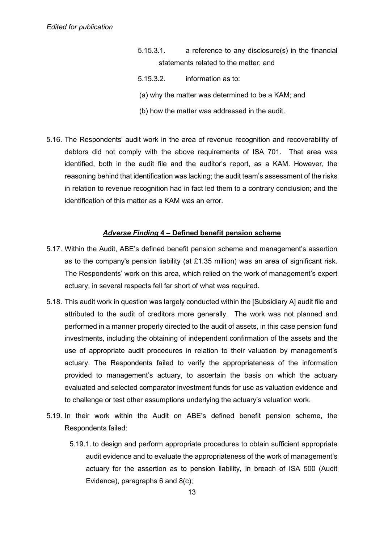- 5.15.3.1. a reference to any disclosure(s) in the financial statements related to the matter; and
- 5.15.3.2. information as to:
- (a) why the matter was determined to be a KAM; and
- (b) how the matter was addressed in the audit.
- 5.16. The Respondents' audit work in the area of revenue recognition and recoverability of debtors did not comply with the above requirements of ISA 701. That area was identified, both in the audit file and the auditor's report, as a KAM. However, the reasoning behind that identification was lacking; the audit team's assessment of the risks in relation to revenue recognition had in fact led them to a contrary conclusion; and the identification of this matter as a KAM was an error.

#### *Adverse Finding* **4 – Defined benefit pension scheme**

- 5.17. Within the Audit, ABE's defined benefit pension scheme and management's assertion as to the company's pension liability (at £1.35 million) was an area of significant risk. The Respondents' work on this area, which relied on the work of management's expert actuary, in several respects fell far short of what was required.
- 5.18. This audit work in question was largely conducted within the [Subsidiary A] audit file and attributed to the audit of creditors more generally. The work was not planned and performed in a manner properly directed to the audit of assets, in this case pension fund investments, including the obtaining of independent confirmation of the assets and the use of appropriate audit procedures in relation to their valuation by management's actuary. The Respondents failed to verify the appropriateness of the information provided to management's actuary, to ascertain the basis on which the actuary evaluated and selected comparator investment funds for use as valuation evidence and to challenge or test other assumptions underlying the actuary's valuation work.
- 5.19. In their work within the Audit on ABE's defined benefit pension scheme, the Respondents failed:
	- 5.19.1. to design and perform appropriate procedures to obtain sufficient appropriate audit evidence and to evaluate the appropriateness of the work of management's actuary for the assertion as to pension liability, in breach of ISA 500 (Audit Evidence), paragraphs 6 and 8(c);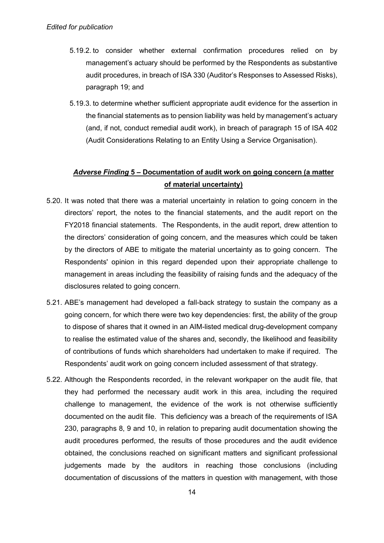- 5.19.2. to consider whether external confirmation procedures relied on by management's actuary should be performed by the Respondents as substantive audit procedures, in breach of ISA 330 (Auditor's Responses to Assessed Risks), paragraph 19; and
- 5.19.3. to determine whether sufficient appropriate audit evidence for the assertion in the financial statements as to pension liability was held by management's actuary (and, if not, conduct remedial audit work), in breach of paragraph 15 of ISA 402 (Audit Considerations Relating to an Entity Using a Service Organisation).

## *Adverse Finding* **5 – Documentation of audit work on going concern (a matter of material uncertainty)**

- 5.20. It was noted that there was a material uncertainty in relation to going concern in the directors' report, the notes to the financial statements, and the audit report on the FY2018 financial statements. The Respondents, in the audit report, drew attention to the directors' consideration of going concern, and the measures which could be taken by the directors of ABE to mitigate the material uncertainty as to going concern. The Respondents' opinion in this regard depended upon their appropriate challenge to management in areas including the feasibility of raising funds and the adequacy of the disclosures related to going concern.
- 5.21. ABE's management had developed a fall-back strategy to sustain the company as a going concern, for which there were two key dependencies: first, the ability of the group to dispose of shares that it owned in an AIM-listed medical drug-development company to realise the estimated value of the shares and, secondly, the likelihood and feasibility of contributions of funds which shareholders had undertaken to make if required. The Respondents' audit work on going concern included assessment of that strategy.
- 5.22. Although the Respondents recorded, in the relevant workpaper on the audit file, that they had performed the necessary audit work in this area, including the required challenge to management, the evidence of the work is not otherwise sufficiently documented on the audit file. This deficiency was a breach of the requirements of ISA 230, paragraphs 8, 9 and 10, in relation to preparing audit documentation showing the audit procedures performed, the results of those procedures and the audit evidence obtained, the conclusions reached on significant matters and significant professional judgements made by the auditors in reaching those conclusions (including documentation of discussions of the matters in question with management, with those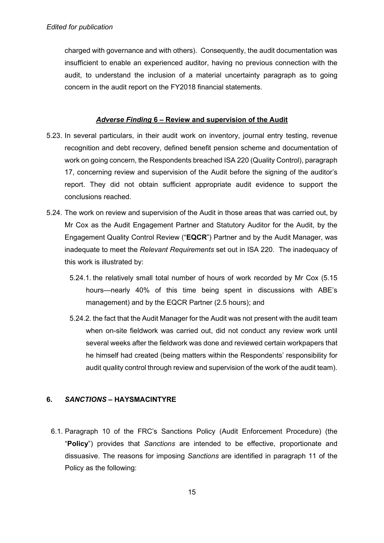charged with governance and with others). Consequently, the audit documentation was insufficient to enable an experienced auditor, having no previous connection with the audit, to understand the inclusion of a material uncertainty paragraph as to going concern in the audit report on the FY2018 financial statements.

### *Adverse Finding* **6 – Review and supervision of the Audit**

- 5.23. In several particulars, in their audit work on inventory, journal entry testing, revenue recognition and debt recovery, defined benefit pension scheme and documentation of work on going concern, the Respondents breached ISA 220 (Quality Control), paragraph 17, concerning review and supervision of the Audit before the signing of the auditor's report. They did not obtain sufficient appropriate audit evidence to support the conclusions reached.
- 5.24. The work on review and supervision of the Audit in those areas that was carried out, by Mr Cox as the Audit Engagement Partner and Statutory Auditor for the Audit, by the Engagement Quality Control Review ("**EQCR**") Partner and by the Audit Manager, was inadequate to meet the *Relevant Requirements* set out in ISA 220. The inadequacy of this work is illustrated by:
	- 5.24.1. the relatively small total number of hours of work recorded by Mr Cox (5.15 hours—nearly 40% of this time being spent in discussions with ABE's management) and by the EQCR Partner (2.5 hours); and
	- 5.24.2. the fact that the Audit Manager for the Audit was not present with the audit team when on-site fieldwork was carried out, did not conduct any review work until several weeks after the fieldwork was done and reviewed certain workpapers that he himself had created (being matters within the Respondents' responsibility for audit quality control through review and supervision of the work of the audit team).

### **6.** *SANCTIONS* **– HAYSMACINTYRE**

6.1. Paragraph 10 of the FRC's Sanctions Policy (Audit Enforcement Procedure) (the "**Policy**") provides that *Sanctions* are intended to be effective, proportionate and dissuasive. The reasons for imposing *Sanctions* are identified in paragraph 11 of the Policy as the following: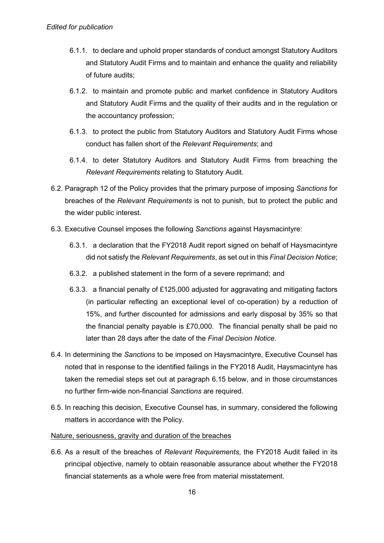- 6.1.1. to declare and uphold proper standards of conduct amongst Statutory Auditors and Statutory Audit Firms and to maintain and enhance the quality and reliability of future audits;
- 6.1.2. to maintain and promote public and market confidence in Statutory Auditors and Statutory Audit Firms and the quality of their audits and in the regulation or the accountancy profession;
- 6.1.3. to protect the public from Statutory Auditors and Statutory Audit Firms whose conduct has fallen short of the *Relevant Requirements*; and
- 6.1.4. to deter Statutory Auditors and Statutory Audit Firms from breaching the *Relevant Requirements* relating to Statutory Audit.
- 6.2. Paragraph 12 of the Policy provides that the primary purpose of imposing *Sanctions* for breaches of the *Relevant Requirements* is not to punish, but to protect the public and the wider public interest.
- 6.3. Executive Counsel imposes the following *Sanctions* against Haysmacintyre:
	- 6.3.1. a declaration that the FY2018 Audit report signed on behalf of Haysmacintyre did not satisfy the *Relevant Requirements*, as set out in this *Final Decision Notice*;
	- 6.3.2. a published statement in the form of a severe reprimand; and
	- 6.3.3. a financial penalty of £125,000 adjusted for aggravating and mitigating factors (in particular reflecting an exceptional level of co-operation) by a reduction of 15%, and further discounted for admissions and early disposal by 35% so that the financial penalty payable is £70,000. The financial penalty shall be paid no later than 28 days after the date of the *Final Decision Notice*.
- 6.4. In determining the *Sanctions* to be imposed on Haysmacintyre, Executive Counsel has noted that in response to the identified failings in the FY2018 Audit, Haysmacintyre has taken the remedial steps set out at paragraph 6.15 below, and in those circumstances no further firm-wide non-financial *Sanctions* are required.
- 6.5. In reaching this decision, Executive Counsel has, in summary, considered the following matters in accordance with the Policy.

## Nature, seriousness, gravity and duration of the breaches

6.6. As a result of the breaches of *Relevant Requirements*, the FY2018 Audit failed in its principal objective, namely to obtain reasonable assurance about whether the FY2018 financial statements as a whole were free from material misstatement.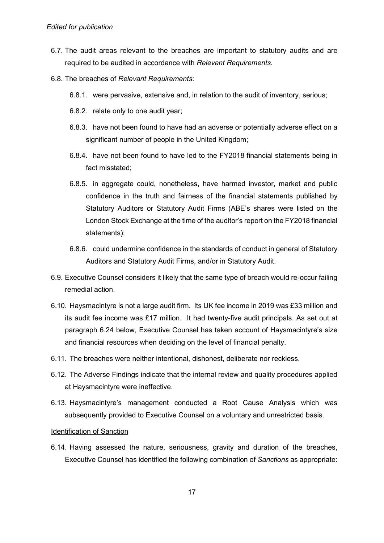- 6.7. The audit areas relevant to the breaches are important to statutory audits and are required to be audited in accordance with *Relevant Requirements*.
- 6.8. The breaches of *Relevant Requirements*:
	- 6.8.1. were pervasive, extensive and, in relation to the audit of inventory, serious;
	- 6.8.2. relate only to one audit year;
	- 6.8.3. have not been found to have had an adverse or potentially adverse effect on a significant number of people in the United Kingdom;
	- 6.8.4. have not been found to have led to the FY2018 financial statements being in fact misstated;
	- 6.8.5. in aggregate could, nonetheless, have harmed investor, market and public confidence in the truth and fairness of the financial statements published by Statutory Auditors or Statutory Audit Firms (ABE's shares were listed on the London Stock Exchange at the time of the auditor's report on the FY2018 financial statements);
	- 6.8.6. could undermine confidence in the standards of conduct in general of Statutory Auditors and Statutory Audit Firms, and/or in Statutory Audit.
- 6.9. Executive Counsel considers it likely that the same type of breach would re-occur failing remedial action.
- 6.10. Haysmacintyre is not a large audit firm. Its UK fee income in 2019 was £33 million and its audit fee income was £17 million. It had twenty-five audit principals. As set out at paragraph 6.24 below, Executive Counsel has taken account of Haysmacintyre's size and financial resources when deciding on the level of financial penalty.
- 6.11. The breaches were neither intentional, dishonest, deliberate nor reckless.
- 6.12. The Adverse Findings indicate that the internal review and quality procedures applied at Haysmacintyre were ineffective.
- 6.13. Haysmacintyre's management conducted a Root Cause Analysis which was subsequently provided to Executive Counsel on a voluntary and unrestricted basis.

#### Identification of Sanction

6.14. Having assessed the nature, seriousness, gravity and duration of the breaches, Executive Counsel has identified the following combination of *Sanctions* as appropriate: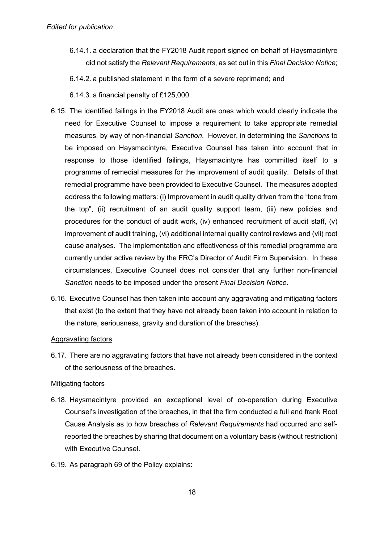- 6.14.1. a declaration that the FY2018 Audit report signed on behalf of Haysmacintyre did not satisfy the *Relevant Requirements*, as set out in this *Final Decision Notice*;
- 6.14.2. a published statement in the form of a severe reprimand; and
- 6.14.3. a financial penalty of £125,000.
- 6.15. The identified failings in the FY2018 Audit are ones which would clearly indicate the need for Executive Counsel to impose a requirement to take appropriate remedial measures, by way of non-financial *Sanction*. However, in determining the *Sanctions* to be imposed on Haysmacintyre, Executive Counsel has taken into account that in response to those identified failings, Haysmacintyre has committed itself to a programme of remedial measures for the improvement of audit quality. Details of that remedial programme have been provided to Executive Counsel. The measures adopted address the following matters: (i) Improvement in audit quality driven from the "tone from the top", (ii) recruitment of an audit quality support team, (iii) new policies and procedures for the conduct of audit work, (iv) enhanced recruitment of audit staff, (v) improvement of audit training, (vi) additional internal quality control reviews and (vii) root cause analyses. The implementation and effectiveness of this remedial programme are currently under active review by the FRC's Director of Audit Firm Supervision. In these circumstances, Executive Counsel does not consider that any further non-financial *Sanction* needs to be imposed under the present *Final Decision Notice*.
- 6.16. Executive Counsel has then taken into account any aggravating and mitigating factors that exist (to the extent that they have not already been taken into account in relation to the nature, seriousness, gravity and duration of the breaches).

#### Aggravating factors

6.17. There are no aggravating factors that have not already been considered in the context of the seriousness of the breaches.

#### Mitigating factors

- 6.18. Haysmacintyre provided an exceptional level of co-operation during Executive Counsel's investigation of the breaches, in that the firm conducted a full and frank Root Cause Analysis as to how breaches of *Relevant Requirements* had occurred and selfreported the breaches by sharing that document on a voluntary basis (without restriction) with Executive Counsel.
- 6.19. As paragraph 69 of the Policy explains: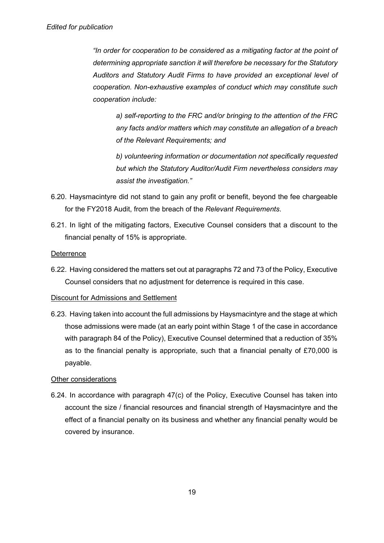*"In order for cooperation to be considered as a mitigating factor at the point of determining appropriate sanction it will therefore be necessary for the Statutory Auditors and Statutory Audit Firms to have provided an exceptional level of cooperation. Non-exhaustive examples of conduct which may constitute such cooperation include:* 

*a) self-reporting to the FRC and/or bringing to the attention of the FRC any facts and/or matters which may constitute an allegation of a breach of the Relevant Requirements; and* 

*b) volunteering information or documentation not specifically requested but which the Statutory Auditor/Audit Firm nevertheless considers may assist the investigation."* 

- 6.20. Haysmacintyre did not stand to gain any profit or benefit, beyond the fee chargeable for the FY2018 Audit, from the breach of the *Relevant Requirements*.
- 6.21. In light of the mitigating factors, Executive Counsel considers that a discount to the financial penalty of 15% is appropriate.

#### **Deterrence**

6.22. Having considered the matters set out at paragraphs 72 and 73 of the Policy, Executive Counsel considers that no adjustment for deterrence is required in this case.

#### Discount for Admissions and Settlement

6.23. Having taken into account the full admissions by Haysmacintyre and the stage at which those admissions were made (at an early point within Stage 1 of the case in accordance with paragraph 84 of the Policy), Executive Counsel determined that a reduction of 35% as to the financial penalty is appropriate, such that a financial penalty of £70,000 is payable.

#### Other considerations

6.24. In accordance with paragraph 47(c) of the Policy, Executive Counsel has taken into account the size / financial resources and financial strength of Haysmacintyre and the effect of a financial penalty on its business and whether any financial penalty would be covered by insurance.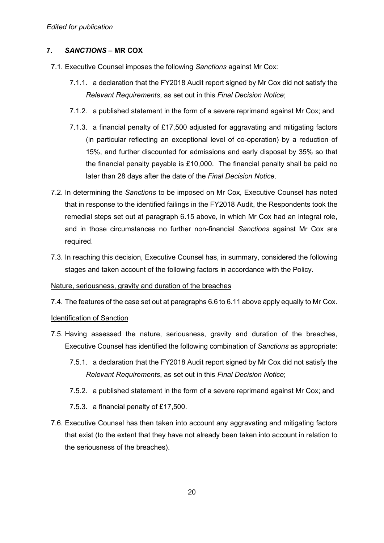## **7.** *SANCTIONS* **– MR COX**

- 7.1. Executive Counsel imposes the following *Sanctions* against Mr Cox:
	- 7.1.1. a declaration that the FY2018 Audit report signed by Mr Cox did not satisfy the *Relevant Requirements*, as set out in this *Final Decision Notice*;
	- 7.1.2. a published statement in the form of a severe reprimand against Mr Cox; and
	- 7.1.3. a financial penalty of £17,500 adjusted for aggravating and mitigating factors (in particular reflecting an exceptional level of co-operation) by a reduction of 15%, and further discounted for admissions and early disposal by 35% so that the financial penalty payable is £10,000. The financial penalty shall be paid no later than 28 days after the date of the *Final Decision Notice*.
- 7.2. In determining the *Sanctions* to be imposed on Mr Cox, Executive Counsel has noted that in response to the identified failings in the FY2018 Audit, the Respondents took the remedial steps set out at paragraph 6.15 above, in which Mr Cox had an integral role, and in those circumstances no further non-financial *Sanctions* against Mr Cox are required.
- 7.3. In reaching this decision, Executive Counsel has, in summary, considered the following stages and taken account of the following factors in accordance with the Policy.

#### Nature, seriousness, gravity and duration of the breaches

7.4. The features of the case set out at paragraphs 6.6 to 6.11 above apply equally to Mr Cox.

#### Identification of Sanction

- 7.5. Having assessed the nature, seriousness, gravity and duration of the breaches, Executive Counsel has identified the following combination of *Sanctions* as appropriate:
	- 7.5.1. a declaration that the FY2018 Audit report signed by Mr Cox did not satisfy the *Relevant Requirements*, as set out in this *Final Decision Notice*;
	- 7.5.2. a published statement in the form of a severe reprimand against Mr Cox; and
	- 7.5.3. a financial penalty of £17,500.
- 7.6. Executive Counsel has then taken into account any aggravating and mitigating factors that exist (to the extent that they have not already been taken into account in relation to the seriousness of the breaches).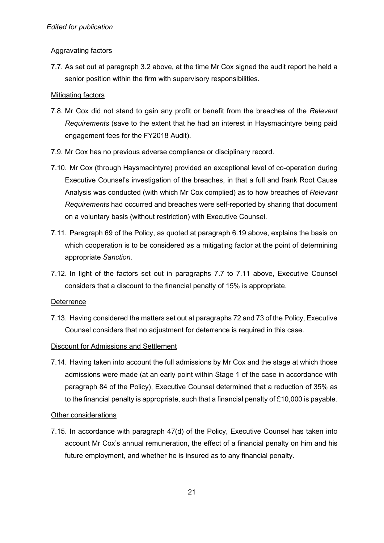## Aggravating factors

7.7. As set out at paragraph 3.2 above, at the time Mr Cox signed the audit report he held a senior position within the firm with supervisory responsibilities.

## **Mitigating factors**

- 7.8. Mr Cox did not stand to gain any profit or benefit from the breaches of the *Relevant Requirements* (save to the extent that he had an interest in Haysmacintyre being paid engagement fees for the FY2018 Audit).
- 7.9. Mr Cox has no previous adverse compliance or disciplinary record.
- 7.10. Mr Cox (through Haysmacintyre) provided an exceptional level of co-operation during Executive Counsel's investigation of the breaches, in that a full and frank Root Cause Analysis was conducted (with which Mr Cox complied) as to how breaches of *Relevant Requirements* had occurred and breaches were self-reported by sharing that document on a voluntary basis (without restriction) with Executive Counsel.
- 7.11. Paragraph 69 of the Policy, as quoted at paragraph 6.19 above, explains the basis on which cooperation is to be considered as a mitigating factor at the point of determining appropriate *Sanction*.
- 7.12. In light of the factors set out in paragraphs 7.7 to 7.11 above, Executive Counsel considers that a discount to the financial penalty of 15% is appropriate.

### **Deterrence**

7.13. Having considered the matters set out at paragraphs 72 and 73 of the Policy, Executive Counsel considers that no adjustment for deterrence is required in this case.

## Discount for Admissions and Settlement

7.14. Having taken into account the full admissions by Mr Cox and the stage at which those admissions were made (at an early point within Stage 1 of the case in accordance with paragraph 84 of the Policy), Executive Counsel determined that a reduction of 35% as to the financial penalty is appropriate, such that a financial penalty of £10,000 is payable.

### Other considerations

7.15. In accordance with paragraph 47(d) of the Policy, Executive Counsel has taken into account Mr Cox's annual remuneration, the effect of a financial penalty on him and his future employment, and whether he is insured as to any financial penalty.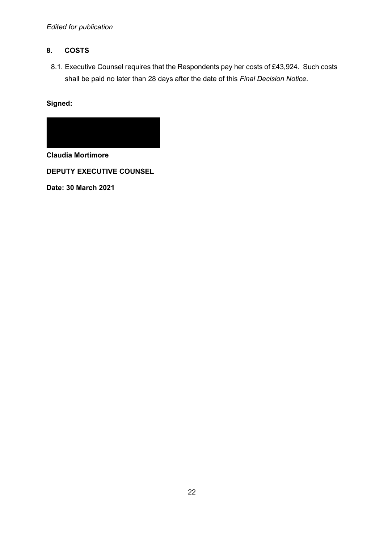## *Edited for publication*

## **8. COSTS**

8.1. Executive Counsel requires that the Respondents pay her costs of £43,924. Such costs shall be paid no later than 28 days after the date of this *Final Decision Notice*.

## **Signed:**



**Claudia Mortimore** 

**DEPUTY EXECUTIVE COUNSEL** 

**Date: 30 March 2021**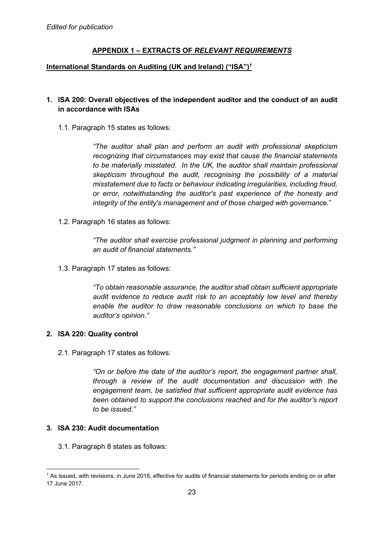## **APPENDIX 1 – EXTRACTS OF** *RELEVANT REQUIREMENTS*

#### **International Standards on Auditing (UK and Ireland) ("ISA")<sup>1</sup>**

## **1. ISA 200: Overall objectives of the independent auditor and the conduct of an audit in accordance with ISAs**

1.1. Paragraph 15 states as follows:

*"The auditor shall plan and perform an audit with professional skepticism recognizing that circumstances may exist that cause the financial statements to be materially misstated. In the UK, the auditor shall maintain professional skepticism throughout the audit, recognising the possibility of a material misstatement due to facts or behaviour indicating irregularities, including fraud, or error, notwithstanding the auditor's past experience of the honesty and integrity of the entity's management and of those charged with governance.*"

1.2. Paragraph 16 states as follows:

*"The auditor shall exercise professional judgment in planning and performing an audit of financial statements."* 

1.3. Paragraph 17 states as follows:

*"To obtain reasonable assurance, the auditor shall obtain sufficient appropriate audit evidence to reduce audit risk to an acceptably low level and thereby enable the auditor to draw reasonable conclusions on which to base the auditor's opinion."* 

### **2. ISA 220: Quality control**

2.1. Paragraph 17 states as follows:

*"On or before the date of the auditor's report, the engagement partner shall, through a review of the audit documentation and discussion with the engagement team, be satisfied that sufficient appropriate audit evidence has been obtained to support the conclusions reached and for the auditor's report to be issued."* 

## **3. ISA 230: Audit documentation**

3.1. Paragraph 8 states as follows:

<sup>&</sup>lt;sup>1</sup> As issued, with revisions, in June 2016, effective for audits of financial statements for periods ending on or after 17 June 2017.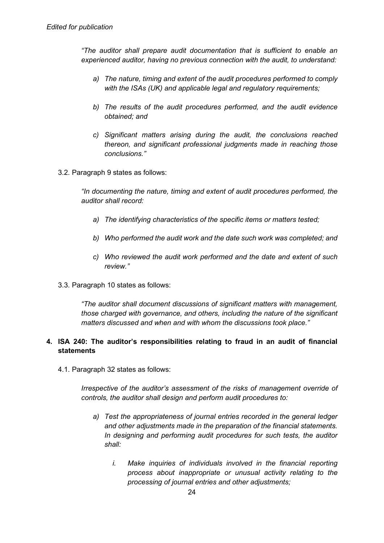*"The auditor shall prepare audit documentation that is sufficient to enable an experienced auditor, having no previous connection with the audit, to understand:* 

- *a) The nature, timing and extent of the audit procedures performed to comply with the ISAs (UK) and applicable legal and regulatory requirements;*
- *b) The results of the audit procedures performed, and the audit evidence obtained; and*
- *c) Significant matters arising during the audit, the conclusions reached thereon, and significant professional judgments made in reaching those conclusions."*
- 3.2. Paragraph 9 states as follows:

*"In documenting the nature, timing and extent of audit procedures performed, the auditor shall record:* 

- *a) The identifying characteristics of the specific items or matters tested;*
- *b) Who performed the audit work and the date such work was completed; and*
- *c) Who reviewed the audit work performed and the date and extent of such review."*
- 3.3. Paragraph 10 states as follows:

*"The auditor shall document discussions of significant matters with management, those charged with governance, and others, including the nature of the significant matters discussed and when and with whom the discussions took place."* 

## **4. ISA 240: The auditor's responsibilities relating to fraud in an audit of financial statements**

4.1. Paragraph 32 states as follows:

*Irrespective of the auditor's assessment of the risks of management override of controls, the auditor shall design and perform audit procedures to:* 

- *a) Test the appropriateness of journal entries recorded in the general ledger and other adjustments made in the preparation of the financial statements. In designing and performing audit procedures for such tests, the auditor shall:* 
	- *i. Make inquiries of individuals involved in the financial reporting process about inappropriate or unusual activity relating to the processing of journal entries and other adjustments;*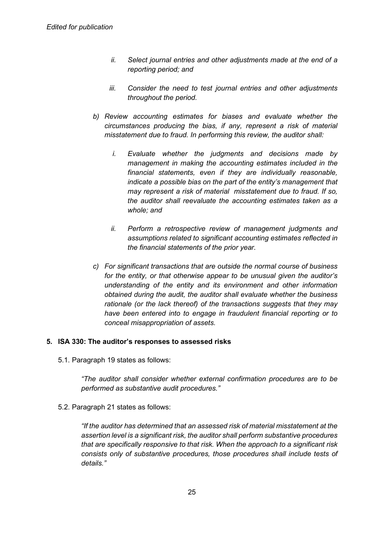- *ii. Select journal entries and other adjustments made at the end of a reporting period; and*
- *iii. Consider the need to test journal entries and other adjustments throughout the period.*
- *b) Review accounting estimates for biases and evaluate whether the circumstances producing the bias, if any, represent a risk of material misstatement due to fraud. In performing this review, the auditor shall:* 
	- *i. Evaluate whether the judgments and decisions made by management in making the accounting estimates included in the financial statements, even if they are individually reasonable, indicate a possible bias on the part of the entity's management that may represent a risk of material misstatement due to fraud. If so, the auditor shall reevaluate the accounting estimates taken as a whole; and*
	- *ii. Perform a retrospective review of management judgments and assumptions related to significant accounting estimates reflected in the financial statements of the prior year.*
- *c) For significant transactions that are outside the normal course of business for the entity, or that otherwise appear to be unusual given the auditor's understanding of the entity and its environment and other information obtained during the audit, the auditor shall evaluate whether the business rationale (or the lack thereof) of the transactions suggests that they may have been entered into to engage in fraudulent financial reporting or to conceal misappropriation of assets.*

### **5. ISA 330: The auditor's responses to assessed risks**

5.1. Paragraph 19 states as follows:

*"The auditor shall consider whether external confirmation procedures are to be performed as substantive audit procedures."* 

5.2. Paragraph 21 states as follows:

*"If the auditor has determined that an assessed risk of material misstatement at the assertion level is a significant risk, the auditor shall perform substantive procedures that are specifically responsive to that risk. When the approach to a significant risk consists only of substantive procedures, those procedures shall include tests of details."*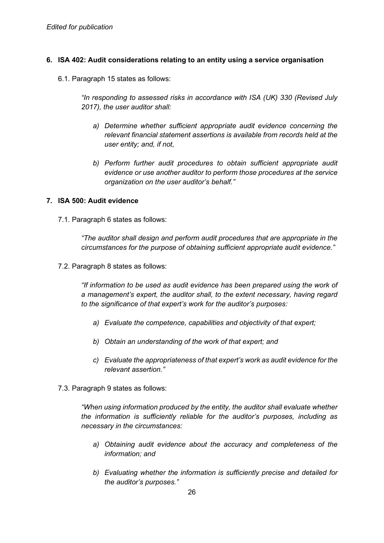### **6. ISA 402: Audit considerations relating to an entity using a service organisation**

6.1. Paragraph 15 states as follows:

*"In responding to assessed risks in accordance with ISA (UK) 330 (Revised July 2017), the user auditor shall:* 

- *a) Determine whether sufficient appropriate audit evidence concerning the relevant financial statement assertions is available from records held at the user entity; and, if not,*
- *b) Perform further audit procedures to obtain sufficient appropriate audit evidence or use another auditor to perform those procedures at the service organization on the user auditor's behalf."*

#### **7. ISA 500: Audit evidence**

7.1. Paragraph 6 states as follows:

*"The auditor shall design and perform audit procedures that are appropriate in the circumstances for the purpose of obtaining sufficient appropriate audit evidence."* 

7.2. Paragraph 8 states as follows:

*"If information to be used as audit evidence has been prepared using the work of a management's expert, the auditor shall, to the extent necessary, having regard to the significance of that expert's work for the auditor's purposes:* 

- *a) Evaluate the competence, capabilities and objectivity of that expert;*
- *b) Obtain an understanding of the work of that expert; and*
- *c) Evaluate the appropriateness of that expert's work as audit evidence for the relevant assertion."*
- 7.3. Paragraph 9 states as follows:

*"When using information produced by the entity, the auditor shall evaluate whether the information is sufficiently reliable for the auditor's purposes, including as necessary in the circumstances:* 

- *a) Obtaining audit evidence about the accuracy and completeness of the information; and*
- *b) Evaluating whether the information is sufficiently precise and detailed for the auditor's purposes."*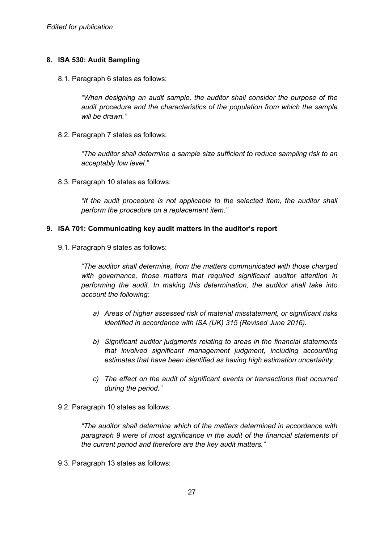## **8. ISA 530: Audit Sampling**

8.1. Paragraph 6 states as follows:

*"When designing an audit sample, the auditor shall consider the purpose of the audit procedure and the characteristics of the population from which the sample will be drawn."* 

8.2. Paragraph 7 states as follows:

*"The auditor shall determine a sample size sufficient to reduce sampling risk to an acceptably low level."* 

8.3. Paragraph 10 states as follows:

*"If the audit procedure is not applicable to the selected item, the auditor shall perform the procedure on a replacement item."* 

#### **9. ISA 701: Communicating key audit matters in the auditor's report**

9.1. Paragraph 9 states as follows:

*"The auditor shall determine, from the matters communicated with those charged with governance, those matters that required significant auditor attention in performing the audit. In making this determination, the auditor shall take into account the following:* 

- *a) Areas of higher assessed risk of material misstatement, or significant risks identified in accordance with ISA (UK) 315 (Revised June 2016).*
- *b) Significant auditor judgments relating to areas in the financial statements that involved significant management judgment, including accounting estimates that have been identified as having high estimation uncertainty.*
- *c) The effect on the audit of significant events or transactions that occurred during the period."*
- 9.2. Paragraph 10 states as follows:

*"The auditor shall determine which of the matters determined in accordance with paragraph 9 were of most significance in the audit of the financial statements of the current period and therefore are the key audit matters."* 

9.3. Paragraph 13 states as follows: